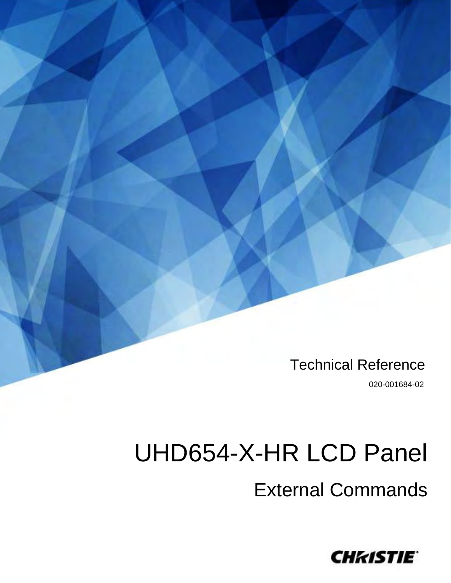Technical Reference

020-001684-02

# UHD654-X-HR LCD Panel

External Commands

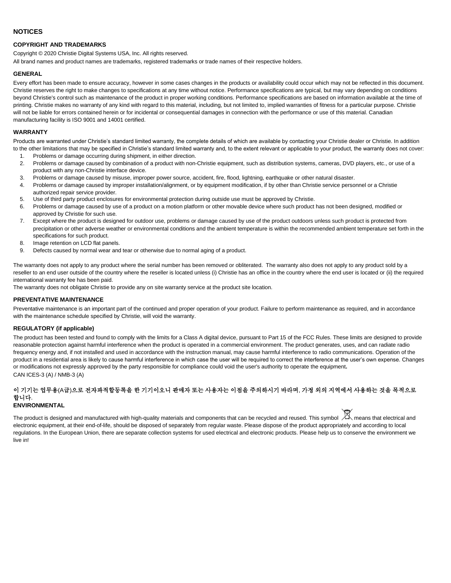#### **NOTICES**

#### **COPYRIGHT AND TRADEMARKS**

Copyright © 2020 Christie Digital Systems USA, Inc. All rights reserved.

All brand names and product names are trademarks, registered trademarks or trade names of their respective holders.

#### **GENERAL**

Every effort has been made to ensure accuracy, however in some cases changes in the products or availability could occur which may not be reflected in this document. Christie reserves the right to make changes to specifications at any time without notice. Performance specifications are typical, but may vary depending on conditions beyond Christie's control such as maintenance of the product in proper working conditions. Performance specifications are based on information available at the time of printing. Christie makes no warranty of any kind with regard to this material, including, but not limited to, implied warranties of fitness for a particular purpose. Christie will not be liable for errors contained herein or for incidental or consequential damages in connection with the performance or use of this material. Canadian manufacturing facility is ISO 9001 and 14001 certified.

#### **WARRANTY**

Products are warranted under Christie's standard limited warranty, the complete details of which are available by contacting your Christie dealer or Christie. In addition to the other limitations that may be specified in Christie's standard limited warranty and, to the extent relevant or applicable to your product, the warranty does not cover:

- 1. Problems or damage occurring during shipment, in either direction.
- 2. Problems or damage caused by combination of a product with non-Christie equipment, such as distribution systems, cameras, DVD players, etc., or use of a product with any non-Christie interface device.
- 3. Problems or damage caused by misuse, improper power source, accident, fire, flood, lightning, earthquake or other natural disaster.
- 4. Problems or damage caused by improper installation/alignment, or by equipment modification, if by other than Christie service personnel or a Christie authorized repair service provider.
- 5. Use of third party product enclosures for environmental protection during outside use must be approved by Christie.
- 6. Problems or damage caused by use of a product on a motion platform or other movable device where such product has not been designed, modified or approved by Christie for such use.
- 7. Except where the product is designed for outdoor use, problems or damage caused by use of the product outdoors unless such product is protected from precipitation or other adverse weather or environmental conditions and the ambient temperature is within the recommended ambient temperature set forth in the specifications for such product.
- 8. Image retention on LCD flat panels.
- 9. Defects caused by normal wear and tear or otherwise due to normal aging of a product.

The warranty does not apply to any product where the serial number has been removed or obliterated. The warranty also does not apply to any product sold by a reseller to an end user outside of the country where the reseller is located unless (i) Christie has an office in the country where the end user is located or (ii) the required international warranty fee has been paid.

The warranty does not obligate Christie to provide any on site warranty service at the product site location.

#### **PREVENTATIVE MAINTENANCE**

Preventative maintenance is an important part of the continued and proper operation of your product. Failure to perform maintenance as required, and in accordance with the maintenance schedule specified by Christie, will void the warranty.

#### **REGULATORY (if applicable)**

The product has been tested and found to comply with the limits for a Class A digital device, pursuant to Part 15 of the FCC Rules. These limits are designed to provide reasonable protection against harmful interference when the product is operated in a commercial environment. The product generates, uses, and can radiate radio frequency energy and, if not installed and used in accordance with the instruction manual, may cause harmful interference to radio communications. Operation of the product in a residential area is likely to cause harmful interference in which case the user will be required to correct the interference at the user's own expense. Changes or modifications not expressly approved by the party responsible for compliance could void the user's authority to operate the equipment**.** CAN ICES-3 (A) / NMB-3 (A)

#### 이 기기는 업무용(A급)으로 전자파적합등록을 한 기기이오니 판매자 또는 사용자는 이점을 주의하시기 바라며, 가정 외의 지역에서 사용하는 것을 목적으로 합니다. **ENVIRONMENTAL**

The product is designed and manufactured with high-quality materials and components that can be recycled and reused. This symbol  $\boxtimes$  means that electrical and electronic equipment, at their end-of-life, should be disposed of separately from regular waste. Please dispose of the product appropriately and according to local regulations. In the European Union, there are separate collection systems for used electrical and electronic products. Please help us to conserve the environment we live in!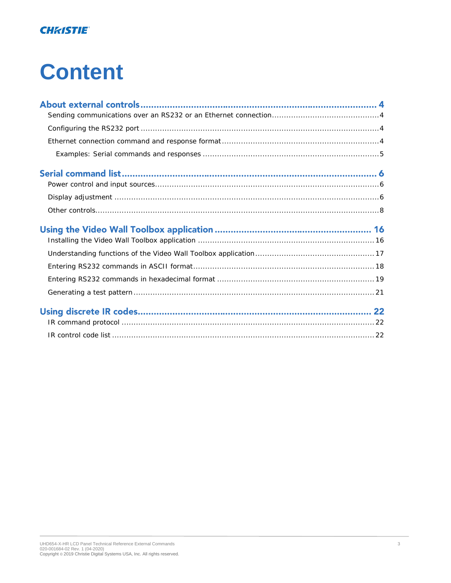#### **CHRISTIE**®

# **Content**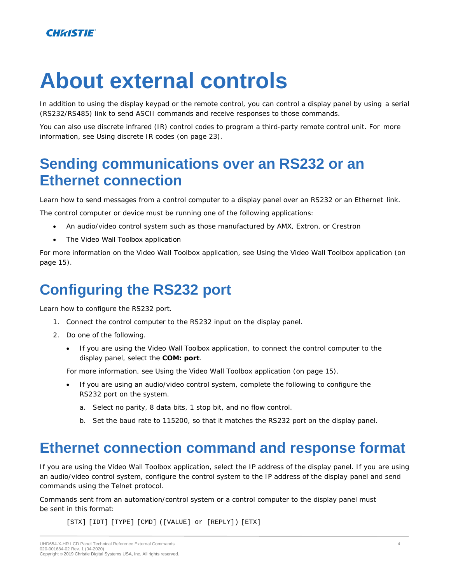# **About external controls**

In addition to using the display keypad or the remote control, you can control a display panel by using a serial (RS232/RS485) link to send ASCII commands and receive responses to those commands.

You can also use discrete infrared (IR) control codes to program a third-party remote control unit. For more information, see *[Using discrete IR codes](#page-21-2)* (on page 23).

## <span id="page-3-0"></span>**Sending communications over an RS232 or an Ethernet connection**

Learn how to send messages from a control computer to a display panel over an RS232 or an Ethernet link.

The control computer or device must be running one of the following applications:

- An audio/video control system such as those manufactured by AMX, Extron, or Crestron
- The Video Wall Toolbox application

For more information on the Video Wall Toolbox application, see *[Using the Video Wall Toolbox application](#page-15-1)* (on page 15).

# <span id="page-3-1"></span>**Configuring the RS232 port**

Learn how to configure the RS232 port.

- 1. Connect the control computer to the RS232 input on the display panel.
- 2. Do one of the following.
	- If you are using the Video Wall Toolbox application, to connect the control computer to the display panel, select the **COM: port**.

For more information, see *[Using the Video Wall Toolbox application](#page-15-1)* (on page 15).

- If you are using an audio/video control system, complete the following to configure the RS232 port on the system.
	- a. Select no parity, 8 data bits, 1 stop bit, and no flow control.
	- b. Set the baud rate to 115200, so that it matches the RS232 port on the display panel.

### <span id="page-3-2"></span>**Ethernet connection command and response format**

If you are using the Video Wall Toolbox application, select the IP address of the display panel. If you are using an audio/video control system, configure the control system to the IP address of the display panel and send commands using the Telnet protocol.

Commands sent from an automation/control system or a control computer to the display panel must be sent in this format:

[STX] [IDT] [TYPE] [CMD] ([VALUE] or [REPLY]) [ETX]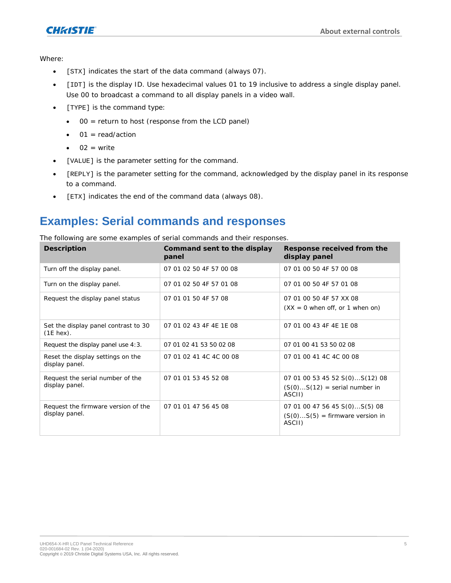

Where:

- [STX] indicates the start of the data command (always 07).
- [IDT] is the display ID. Use hexadecimal values 01 to 19 inclusive to address a single display panel. Use 00 to broadcast a command to all display panels in a video wall.
- [TYPE] is the command type:
	- 00 = return to host (response from the LCD panel)
	- $\bullet$  01 = read/action
	- $\bullet$  02 = write
- [VALUE] is the parameter setting for the command.
- [REPLY] is the parameter setting for the command, acknowledged by the display panel in its response to a command.
- [ETX] indicates the end of the command data (always 08).

#### <span id="page-4-0"></span>**Examples: Serial commands and responses**

The following are some examples of serial commands and their responses.

| Description                                           | Command sent to the display<br>panel | Response received from the<br>display panel                                  |
|-------------------------------------------------------|--------------------------------------|------------------------------------------------------------------------------|
| Turn off the display panel.                           | 07 01 02 50 4F 57 00 08              | 07 01 00 50 4F 57 00 08                                                      |
| Turn on the display panel.                            | 07 01 02 50 4F 57 01 08              | 07 01 00 50 4F 57 01 08                                                      |
| Request the display panel status                      | 07 01 01 50 4F 57 08                 | 07 01 00 50 4F 57 XX 08<br>$(XX = 0$ when off, or 1 when on)                 |
| Set the display panel contrast to 30<br>$(1E$ hex).   | 07 01 02 43 4F 4E 1E 08              | 07 01 00 43 4F 4E 1E 08                                                      |
| Request the display panel use 4:3.                    | 07 01 02 41 53 50 02 08              | 07 01 00 41 53 50 02 08                                                      |
| Reset the display settings on the<br>display panel.   | 07 01 02 41 4C 4C 00 08              | 07 01 00 41 4C 4C 00 08                                                      |
| Request the serial number of the<br>display panel.    | 07 01 01 53 45 52 08                 | 07 01 00 53 45 52 S(0)S(12) 08<br>$(S(0)S(12) = serial number in$<br>ASCII)  |
| Request the firmware version of the<br>display panel. | 07 01 01 47 56 45 08                 | 07 01 00 47 56 45 S(0)S(5) 08<br>$(S(0)S(5) = firmware version in$<br>ASCII) |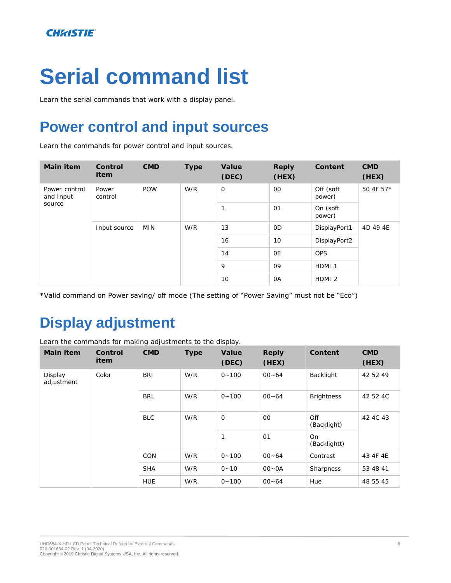# <span id="page-5-2"></span>**Serial command list**

<span id="page-5-0"></span>Learn the serial commands that work with a display panel.

# **Power control and input sources**

Learn the commands for power control and input sources.

| Main item                            | Control<br>item  | <b>CMD</b> | Type | Value<br>(DEC) | Reply<br>(HEX) | Content             | <b>CMD</b><br>(HEX) |
|--------------------------------------|------------------|------------|------|----------------|----------------|---------------------|---------------------|
| Power control<br>and Input<br>source | Power<br>control | <b>POW</b> | W/R  | $\circ$        | $00\,$         | Off (soft<br>power) | 50 4F 57*           |
|                                      |                  |            |      |                | O <sub>1</sub> | On (soft<br>power)  |                     |
|                                      | Input source     | <b>MIN</b> | W/R  | 13             | 0 <sub>D</sub> | DisplayPort1        | 4D 49 4E            |
|                                      |                  |            |      | 16             | 10             | DisplayPort2        |                     |
|                                      |                  |            |      | 14             | <b>OE</b>      | <b>OPS</b>          |                     |
|                                      |                  |            |      | 9              | 09             | HDMI <sub>1</sub>   |                     |
|                                      |                  |            |      | 10             | <b>OA</b>      | HDMI <sub>2</sub>   |                     |

<span id="page-5-1"></span>\*Valid command on Power saving/ off mode (The setting of "Power Saving" must not be "Eco")

# **Display adjustment**

Learn the commands for making adjustments to the display.

| Main item             | Control<br>item | <b>CMD</b> | Type | Value<br>(DEC) | Reply<br>(HEX) | Content            | <b>CMD</b><br>(HEX) |
|-----------------------|-----------------|------------|------|----------------|----------------|--------------------|---------------------|
| Display<br>adjustment | Color           | <b>BRI</b> | W/R  | $0 - 100$      | $00 - 64$      | Backlight          | 42 52 49            |
|                       |                 | <b>BRL</b> | W/R  | $0 - 100$      | $00 - 64$      | <b>Brightness</b>  | 42 52 4C            |
|                       |                 | <b>BLC</b> | W/R  | $\circ$        | $00\,$         | Off<br>(Backlight) | 42 4C 43            |
|                       |                 |            |      | $\mathbf{1}$   | O <sub>1</sub> | On<br>(Backlightt) |                     |
|                       |                 | <b>CON</b> | W/R  | $0 - 100$      | $00 - 64$      | Contrast           | 43 4F 4E            |
|                       |                 | <b>SHA</b> | W/R  | $0 - 10$       | $OO - OA$      | Sharpness          | 53 48 41            |
|                       |                 | <b>HUE</b> | W/R  | $0 - 100$      | $00 - 64$      | Hue                | 48 55 45            |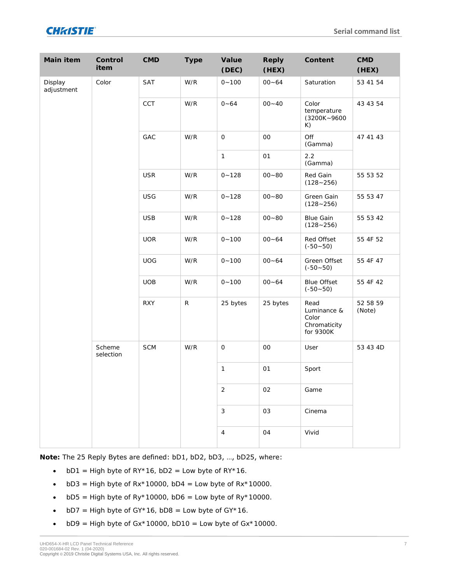| Main item             | Control<br>item     | <b>CMD</b> | Type        | Value<br>(DEC)      | Reply<br>(HEX) | Content                                                   | CMD<br>(HEX)               |
|-----------------------|---------------------|------------|-------------|---------------------|----------------|-----------------------------------------------------------|----------------------------|
| Display<br>adjustment | Color               | SAT        | W/R         | $0 - 100$           | $00 - 64$      | Saturation                                                | 53 41 54                   |
|                       |                     | CCT        | W/R         | $0 - 64$            | $00 - 40$      | Color<br>temperature<br>$(3200K - 9600$<br>K)             | 43 43 54                   |
|                       |                     | GAC        | W/R         | $\bigcirc$          | $_{\rm OO}$    | Off<br>(Gamma)                                            | 47 41 43                   |
|                       |                     |            |             | $\mathbf{1}$        | O <sub>1</sub> | 2.2<br>(Gamma)                                            |                            |
|                       |                     | <b>USR</b> | W/R         | $0 - 128$           | $00 - 80$      | Red Gain<br>$(128 - 256)$                                 | 55 53 52                   |
|                       |                     | <b>USG</b> | W/R         | $0 - 128$           | $00 - 80$      | Green Gain<br>$(128 - 256)$                               | 55 53 47                   |
|                       |                     | <b>USB</b> | W/R         | $0 - 128$           | $00 - 80$      | <b>Blue Gain</b><br>$(128 - 256)$                         | 55 53 42                   |
|                       |                     |            | <b>UOR</b>  | W/R                 | $0 - 100$      | $00 - 64$                                                 | Red Offset<br>$(-50 - 50)$ |
|                       |                     | <b>UOG</b> | W/R         | $0 - 100$           | $00 - 64$      | Green Offset<br>$(-50 - 50)$                              | 55 4F 47                   |
|                       |                     | <b>UOB</b> | W/R         | $0 - 100$           | $00 - 64$      | <b>Blue Offset</b><br>$(-50 - 50)$                        | 55 4F 42                   |
|                       |                     | <b>RXY</b> | $\mathsf R$ | 25 bytes            | 25 bytes       | Read<br>Luminance &<br>Color<br>Chromaticity<br>for 9300K | 52 58 59<br>(Note)         |
|                       | Scheme<br>selection | SCM        | W/R         | $\circlearrowright$ | $_{\rm OO}$    | User                                                      | 53 43 4D                   |
|                       |                     |            |             | $\mathbf{1}$        | O <sub>1</sub> | Sport                                                     |                            |
|                       |                     |            |             | $\sqrt{2}$          | $02\,$         | Game                                                      |                            |
|                       |                     |            |             | $\mathfrak{Z}$      | 03             | Cinema                                                    |                            |
|                       |                     |            |             | $\overline{4}$      | O <sub>4</sub> | Vivid                                                     |                            |

**Note:** The 25 Reply Bytes are defined: bD1, bD2, bD3, …, bD25, where:

- bD1 = High byte of  $RY*16$ , bD2 = Low byte of  $RY*16$ .
- bD3 = High byte of  $Rx*10000$ , bD4 = Low byte of  $Rx*10000$ .
- bD5 = High byte of Ry\*10000, bD6 = Low byte of Ry\*10000.
- bD7 = High byte of  $GY*16$ , bD8 = Low byte of  $GY*16$ .
- bD9 = High byte of  $Gx*10000$ , bD10 = Low byte of  $Gx*10000$ .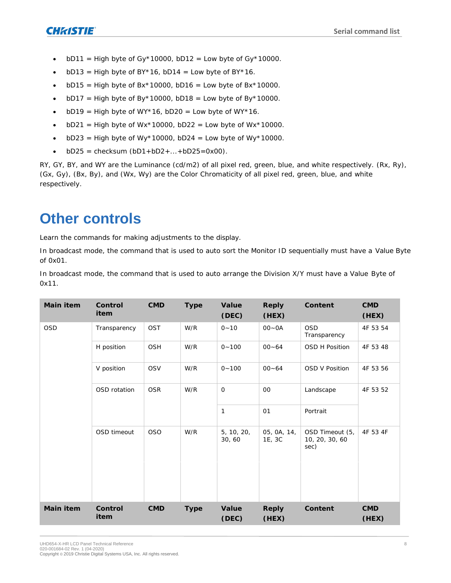- bD11 = High byte of Gy\*10000, bD12 = Low byte of Gy\*10000.
- $bD13$  = High byte of BY\*16,  $bD14$  = Low byte of BY\*16.
- $bD15$  = High byte of Bx\*10000,  $bD16$  = Low byte of Bx\*10000.
- $bD17$  = High byte of By\*10000,  $bD18$  = Low byte of By\*10000.
- bD19 = High byte of WY\*16, bD20 = Low byte of WY\*16.
- bD21 = High byte of Wx\*10000, bD22 = Low byte of Wx\*10000.
- bD23 = High byte of Wy\*10000, bD24 = Low byte of Wy\*10000.
- $bD25 = \text{ch}(\text{b}D1 + bD2 + \dots + bD25) = 0 \times 00$ .

RY, GY, BY, and WY are the Luminance (cd/m2) of all pixel red, green, blue, and white respectively. (Rx, Ry), (Gx, Gy), (Bx, By), and (Wx, Wy) are the Color Chromaticity of all pixel red, green, blue, and white respectively.

### <span id="page-7-0"></span>**Other controls**

Learn the commands for making adjustments to the display.

In broadcast mode, the command that is used to auto sort the Monitor ID sequentially must have a Value Byte of 0x01.

In broadcast mode, the command that is used to auto arrange the Division X/Y must have a Value Byte of 0x11.

| Main item | Control<br>item | CMD        | Type | Value<br>(DEC)      | Reply<br>(HEX)        | Content                                   | <b>CMD</b><br>(HEX) |
|-----------|-----------------|------------|------|---------------------|-----------------------|-------------------------------------------|---------------------|
| OSD       | Transparency    | OST        | W/R  | $0 - 10$            | $00 - 0A$             | <b>OSD</b><br>Transparency                | 4F 53 54            |
|           | H position      | OSH        | W/R  | $0 - 100$           | $00 - 64$             | OSD H Position                            | 4F 53 48            |
|           | V position      | <b>OSV</b> | W/R  | $0 - 100$           | $00 - 64$             | OSD V Position                            | 4F 53 56            |
|           | OSD rotation    | <b>OSR</b> | W/R  | $\circ$             | 00                    | Landscape                                 | 4F 53 52            |
|           |                 |            |      | $\mathbf{1}$        | O <sub>1</sub>        | Portrait                                  |                     |
|           | OSD timeout     | <b>OSO</b> | W/R  | 5, 10, 20,<br>30,60 | 05, 0A, 14,<br>1E, 3C | OSD Timeout (5,<br>10, 20, 30, 60<br>sec) | 4F 53 4F            |
| Main item | Control<br>item | <b>CMD</b> | Type | Value<br>(DEC)      | Reply<br>(HEX)        | Content                                   | <b>CMD</b><br>(HEX) |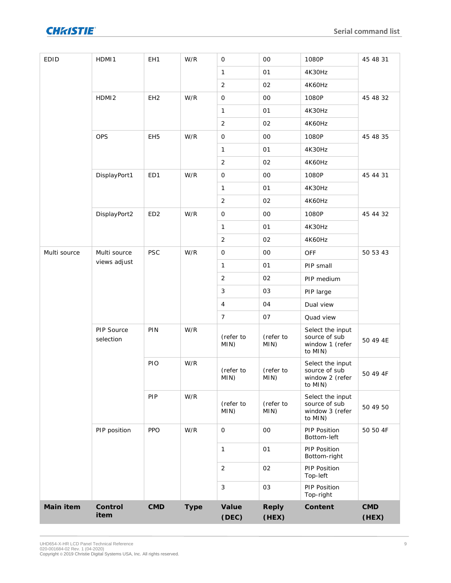

| <b>EDID</b>  | HDMI1                   | EH1             | W/R  | $\circ$             | $00\,$            | 1080P                                                           | 45 48 31     |
|--------------|-------------------------|-----------------|------|---------------------|-------------------|-----------------------------------------------------------------|--------------|
|              |                         |                 |      | $\mathbf{1}$        | 01                | 4K30Hz                                                          |              |
|              |                         |                 |      | $\overline{2}$      | 02                | 4K60Hz                                                          |              |
|              | HDMI <sub>2</sub>       | EH <sub>2</sub> | W/R  | $\circlearrowright$ | $_{\rm OO}$       | 1080P                                                           | 45 48 32     |
|              |                         |                 |      | $\mathbf{1}$        | O <sub>1</sub>    | 4K30Hz                                                          |              |
|              |                         |                 |      | $\overline{2}$      | O2                | 4K60Hz                                                          |              |
|              | <b>OPS</b>              | EH <sub>5</sub> | W/R  | $\circ$             | $00\,$            | 1080P                                                           | 45 48 35     |
|              |                         |                 |      | $\mathbf{1}$        | 01                | 4K30Hz                                                          |              |
|              |                         |                 |      | $\overline{a}$      | 02                | 4K60Hz                                                          |              |
|              | DisplayPort1            | ED1             | W/R  | $\circlearrowright$ | O <sub>O</sub>    | 1080P                                                           | 45 44 31     |
|              |                         |                 |      | $\mathbf{1}$        | 01                | 4K30Hz                                                          |              |
|              |                         |                 |      | $\overline{2}$      | 02                | 4K60Hz                                                          |              |
|              | DisplayPort2            | ED <sub>2</sub> | W/R  | $\circ$             | $_{\rm OO}$       | 1080P                                                           | 45 44 32     |
|              |                         |                 |      | $\mathbf{1}$        | 01                | 4K30Hz                                                          |              |
|              |                         |                 |      | $\overline{2}$      | 02                | 4K60Hz                                                          |              |
| Multi source | Multi source            | <b>PSC</b>      | W/R  | $\circlearrowright$ | O <sub>O</sub>    | OFF                                                             | 50 53 43     |
|              | views adjust            |                 |      | $\mathbf{1}$        | 01                | PIP small                                                       |              |
|              |                         |                 |      | $\overline{2}$      | 02                | PIP medium                                                      |              |
|              |                         |                 |      | 3                   | 03                | PIP large                                                       |              |
|              |                         |                 |      | $\overline{4}$      | 04                | Dual view                                                       |              |
|              |                         |                 |      | $\overline{7}$      | 07                | Quad view                                                       |              |
|              | PIP Source<br>selection | PIN             | W/R  | (refer to<br>MIN)   | (refer to<br>MIN) | Select the input<br>source of sub<br>window 1 (refer<br>to MIN) | 50 49 4E     |
|              |                         | PIO             | W/R  | (refer to<br>MIN)   | (refer to<br>MIN) | Select the input<br>source of sub<br>window 2 (refer<br>to MIN) | 50 49 4F     |
|              |                         | PIP             | W/R  | (refer to<br>MIN)   | (refer to<br>MIN) | Select the input<br>source of sub<br>window 3 (refer<br>to MIN) | 50 49 50     |
|              | PIP position            | <b>PPO</b>      | W/R  | $\circ$             | $_{\rm OO}$       | PIP Position<br>Bottom-left                                     | 50 50 4F     |
|              |                         |                 |      | $\mathbf{1}$        | 01                | PIP Position<br>Bottom-right                                    |              |
|              |                         |                 |      | $\sqrt{2}$          | O2                | PIP Position<br>Top-left                                        |              |
|              |                         |                 |      | $\mathfrak{Z}$      | 03                | PIP Position<br>Top-right                                       |              |
| Main item    | Control<br>item         | <b>CMD</b>      | Type | Value<br>(DEC)      | Reply<br>(HEX)    | Content                                                         | CMD<br>(HEX) |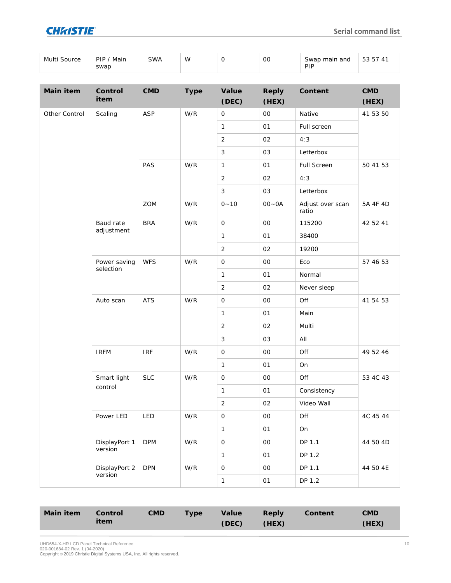

| Multi Source | Main<br>PIP<br>swap | SWA | W | OC | Swap main and<br>חוכ<br>. | $ \sim$<br>$\Lambda$ <sup>-</sup> |
|--------------|---------------------|-----|---|----|---------------------------|-----------------------------------|

| Main item     | Control<br>item           | CMD               | Type                                                            | Value<br>(DEC) | Reply<br>(HEX) | Content                   | CMD<br>(HEX) |
|---------------|---------------------------|-------------------|-----------------------------------------------------------------|----------------|----------------|---------------------------|--------------|
| Other Control | Scaling                   | <b>ASP</b>        | W/R                                                             | $\bigcirc$     | O <sub>O</sub> | Native                    | 41 53 50     |
|               |                           |                   |                                                                 | $\mathbf{1}$   | 01             | Full screen               |              |
|               |                           |                   |                                                                 | $\overline{2}$ | 02             | 4:3                       |              |
|               |                           |                   |                                                                 | $\mathfrak{Z}$ | 03             | Letterbox                 |              |
|               |                           | PAS               | W/R                                                             | $\mathbf{1}$   | O <sub>1</sub> | Full Screen               | 50 41 53     |
|               |                           |                   |                                                                 | $\overline{2}$ | O2             | 4:3                       |              |
|               |                           |                   |                                                                 | 3              | 03             | Letterbox                 |              |
|               |                           | ZOM               | W/R                                                             | $0 - 10$       | $00 - 0A$      | Adjust over scan<br>ratio | 5A 4F 4D     |
|               | Baud rate                 | <b>BRA</b>        | W/R                                                             | $\bigcirc$     | O <sub>O</sub> | 115200                    | 42 52 41     |
|               | adjustment                |                   |                                                                 | $\mathbf{1}$   | O <sub>1</sub> | 38400                     |              |
|               |                           |                   |                                                                 | $\overline{2}$ | 02             | 19200                     |              |
|               | Power saving<br>selection | WFS               | W/R                                                             | $\bigcirc$     | O <sub>O</sub> | Eco                       | 57 46 53     |
|               |                           |                   |                                                                 | $\mathbf{1}$   | O <sub>1</sub> | Normal                    |              |
|               |                           |                   |                                                                 | $\overline{2}$ | 02             | Never sleep               |              |
|               | Auto scan                 | <b>ATS</b>        | $\ensuremath{\mathsf{W}}\xspace/\ensuremath{\mathsf{R}}\xspace$ | $\hbox{O}$     | 00             | Off                       | 41 54 53     |
|               |                           |                   |                                                                 | $\mathbf{1}$   | O <sub>1</sub> | Main                      |              |
|               |                           |                   |                                                                 | $\overline{2}$ | 02             | Multi                     |              |
|               |                           |                   |                                                                 | $\mathfrak{Z}$ | 03             | All                       |              |
|               | <b>IRFM</b>               | <b>IRF</b>        | $\ensuremath{\mathsf{W}}\xspace/\ensuremath{\mathsf{R}}\xspace$ | $\hbox{O}$     | $_{\rm OO}$    | Off                       | 49 52 46     |
|               |                           |                   |                                                                 | $\mathbf{1}$   | O <sub>1</sub> | On                        |              |
|               | Smart light               | <b>SLC</b>        | W/R                                                             | $\hbox{O}$     | O <sub>O</sub> | Off                       | 53 4C 43     |
|               | control                   |                   |                                                                 | $\mathbf{1}$   | O <sub>1</sub> | Consistency               |              |
|               |                           |                   |                                                                 | $\overline{2}$ | O2             | Video Wall                |              |
|               | Power LED                 | LED               | $\ensuremath{\mathsf{W}}\xspace/\ensuremath{\mathsf{R}}\xspace$ | $\hbox{O}$     | 00             | Off                       | 4C 45 44     |
|               |                           |                   |                                                                 | $\mathbf{1}$   | 01             | On                        |              |
|               | DisplayPort 1             | <b>DPM</b>        | W/R                                                             | $\bigcirc$     | $_{\rm OO}$    | DP 1.1                    | 44 50 4D     |
|               | version                   |                   |                                                                 | $\mathbf{1}$   | O <sub>1</sub> | DP 1.2                    |              |
|               | DisplayPort 2             | <b>DPN</b><br>W/R |                                                                 | $\bigcirc$     | $_{\rm OO}$    | DP 1.1                    | 44 50 4E     |
|               | version                   |                   |                                                                 | $\mathbbm{1}$  | O <sub>1</sub> | DP 1.2                    |              |

| Main item | Control | CMD. | Type \ | Value | Reply | Content | <b>CMD</b> |
|-----------|---------|------|--------|-------|-------|---------|------------|
|           | item    |      |        | (DEC) | (HEX) |         | (HEX)      |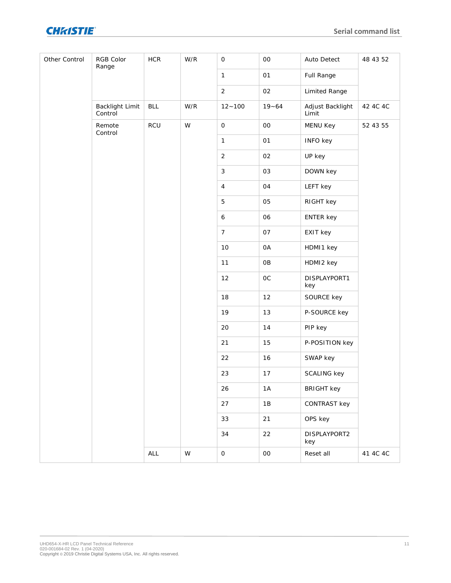

| Other Control | RGB Color<br>Range         | $\sf{HCR}$ | W/R                                                                                   | $\circ$             | $_{\rm OO}$    | Auto Detect               | 48 43 52 |
|---------------|----------------------------|------------|---------------------------------------------------------------------------------------|---------------------|----------------|---------------------------|----------|
|               |                            |            |                                                                                       | $\mathbbm{1}$       | 01             | Full Range                |          |
|               |                            |            |                                                                                       | $\overline{2}$      | O2             | Limited Range             |          |
|               | Backlight Limit<br>Control | <b>BLL</b> | W/R                                                                                   | $12 - 100$          | $19 - 64$      | Adjust Backlight<br>Limit | 42 4C 4C |
|               | Remote<br>Control          | RCU        | $\mathsf{W}% _{T}=\mathsf{W}_{T}\!\left( a,b\right) ,\ \mathsf{W}_{T}=\mathsf{W}_{T}$ | $\circlearrowright$ | $_{\rm OO}$    | MENU Key                  | 52 43 55 |
|               |                            |            |                                                                                       | $\mathbf{1}$        | O <sub>1</sub> | INFO key                  |          |
|               |                            |            |                                                                                       | $\overline{2}$      | O2             | UP key                    |          |
|               |                            |            |                                                                                       | $\mathfrak{Z}$      | 03             | DOWN key                  |          |
|               |                            |            |                                                                                       | $\overline{4}$      | 04             | LEFT key                  |          |
|               |                            |            |                                                                                       | 5                   | 05             | RIGHT key                 |          |
|               |                            |            |                                                                                       | $\epsilon$          | 06             | ENTER key                 |          |
|               |                            |            |                                                                                       | $\overline{7}$      | 07             | EXIT key                  |          |
|               |                            |            |                                                                                       | 10                  | OA             | HDMI1 key                 |          |
|               |                            |            |                                                                                       | 11                  | OB             | HDMI2 key                 |          |
|               |                            |            |                                                                                       | 12                  | $OC$           | DISPLAYPORT1<br>key       |          |
|               |                            |            |                                                                                       | 18                  | 12             | SOURCE key                |          |
|               |                            |            |                                                                                       | 19                  | $13$           | P-SOURCE key              |          |
|               |                            |            |                                                                                       | 20                  | 14             | PIP key                   |          |
|               |                            |            |                                                                                       | 21                  | 15             | P-POSITION key            |          |
|               |                            |            |                                                                                       | 22                  | 16             | SWAP key                  |          |
|               |                            |            |                                                                                       | 23                  | 17             | SCALING key               |          |
|               |                            |            |                                                                                       | 26                  | $1A$           | <b>BRIGHT key</b>         |          |
|               |                            |            |                                                                                       | 27                  | $1B$           | CONTRAST key              |          |
|               |                            |            |                                                                                       | 33                  | 21             | OPS key                   |          |
|               |                            |            |                                                                                       | 34                  | 22             | DISPLAYPORT2<br>key       |          |
|               |                            | ALL        | ${\mathsf W}$                                                                         | $\circ$             | $\rm OO$       | Reset all                 | 41 4C 4C |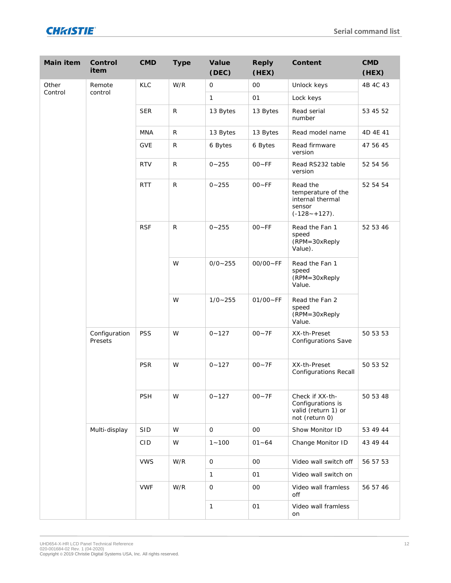| Main item | Control<br>item          | <b>CMD</b> | Type         | Value<br>(DEC) | Reply<br>(HEX) | Content                                                                          | <b>CMD</b><br>(HEX)                                 |          |
|-----------|--------------------------|------------|--------------|----------------|----------------|----------------------------------------------------------------------------------|-----------------------------------------------------|----------|
| Other     | Remote                   | KLC        | W/R          | $\bigcirc$     | 00             | Unlock keys                                                                      | 4B 4C 43                                            |          |
| Control   | control                  |            |              | 1              | 01             | Lock keys                                                                        |                                                     |          |
|           |                          | <b>SER</b> | $\mathsf{R}$ | 13 Bytes       | 13 Bytes       | Read serial<br>number                                                            | 53 45 52                                            |          |
|           |                          | <b>MNA</b> | $\mathsf{R}$ | 13 Bytes       | 13 Bytes       | Read model name                                                                  | 4D 4E 41                                            |          |
|           |                          | <b>GVE</b> | ${\sf R}$    | 6 Bytes        | 6 Bytes        | Read firmware<br>version                                                         | 47 56 45                                            |          |
|           |                          | <b>RTV</b> | $\mathsf{R}$ | $0 - 255$      | $00 - FF$      | Read RS232 table<br>version                                                      | 52 54 56                                            |          |
|           |                          | <b>RTT</b> | $\mathsf{R}$ | $0 - 255$      | $OO-FF$        | Read the<br>temperature of the<br>internal thermal<br>sensor<br>$(-128 - 127)$ . | 52 54 54                                            |          |
|           |                          |            | <b>RSF</b>   | $\mathsf{R}$   | $0 - 255$      | $OO-FF$                                                                          | Read the Fan 1<br>speed<br>(RPM=30xReply<br>Value). | 52 53 46 |
|           |                          |            | W            | $0/0 - 255$    | $00/00 - FF$   | Read the Fan 1<br>speed<br>(RPM=30xReply<br>Value.                               |                                                     |          |
|           |                          |            | W            | $1/0 - 255$    | $01/00 - FF$   | Read the Fan 2<br>speed<br>(RPM=30xReply<br>Value.                               |                                                     |          |
|           | Configuration<br>Presets | PSS        | W            | $0 - 127$      | $00 - 7F$      | XX-th-Preset<br>Configurations Save                                              | 50 53 53                                            |          |
|           |                          | <b>PSR</b> | W            | $0 - 127$      | $00 - 7F$      | XX-th-Preset<br>Configurations Recall                                            | 50 53 52                                            |          |
|           |                          | PSH        | W            | $0 - 127$      | $00 - 7F$      | Check if XX-th-<br>Configurations is<br>valid (return 1) or<br>not (return 0)    | 50 53 48                                            |          |
|           | Multi-display            | SID        | W            | $\circ$        | $00\,$         | Show Monitor ID                                                                  | 53 49 44                                            |          |
|           |                          | <b>CID</b> | W            | $1 - 100$      | $01 - 64$      | Change Monitor ID                                                                | 43 49 44                                            |          |
|           |                          | <b>VWS</b> | W/R          | $\bigcirc$     | $_{\rm OO}$    | Video wall switch off                                                            | 56 57 53                                            |          |
|           |                          |            |              | 1              | O <sub>1</sub> | Video wall switch on                                                             |                                                     |          |
|           |                          | <b>VWF</b> | W/R          | $\bigcirc$     | 00             | Video wall framless<br>off                                                       | 56 57 46                                            |          |
|           |                          |            |              |                |                |                                                                                  |                                                     | 1        |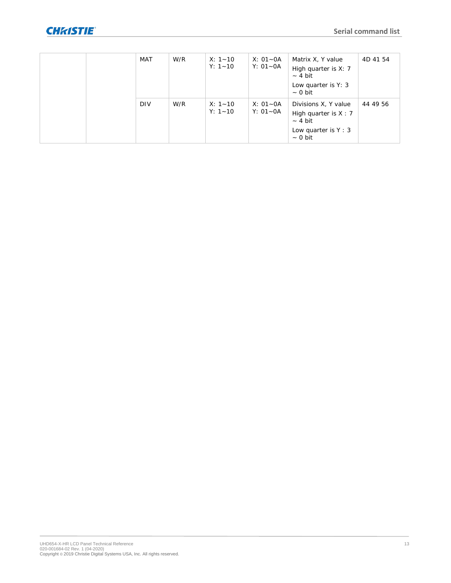|  | <b>MAT</b> | W/R | $X: 1 - 10$<br>$Y: 1 - 10$ | $X: 01 - 0A$<br>$Y: 01 - 0A$ | Matrix X, Y value<br>High quarter is X: 7<br>$-4 bit$<br>Low quarter is Y: 3<br>$\sim$ 0 bit         | 4D 41 54 |
|--|------------|-----|----------------------------|------------------------------|------------------------------------------------------------------------------------------------------|----------|
|  | <b>DIV</b> | W/R | $X: 1 - 10$<br>$Y: 1 - 10$ | $X: 01 - 0A$<br>$Y: 01 - 0A$ | Divisions X, Y value<br>High quarter is $X : 7$<br>$-4 bit$<br>Low quarter is $Y: 3$<br>$\sim$ 0 bit | 44 49 56 |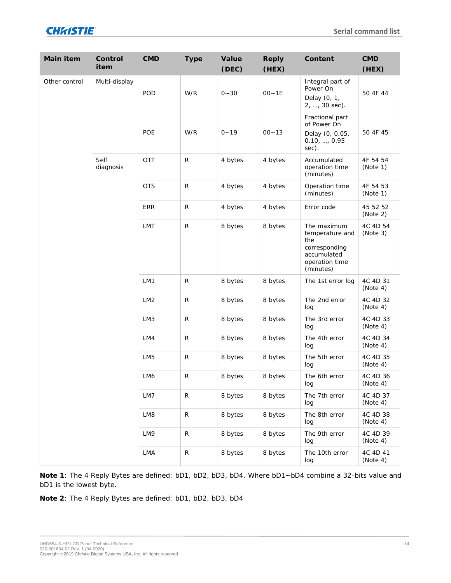

| Main item     | Control<br>item   | <b>CMD</b>      | Type         | Value<br>(DEC) | Reply<br>(HEX) | Content                                                                                              | <b>CMD</b><br>(HEX)  |
|---------------|-------------------|-----------------|--------------|----------------|----------------|------------------------------------------------------------------------------------------------------|----------------------|
| Other control | Multi-display     | POD             | W/R          | $0 - 30$       | $00 - 1E$      | Integral part of<br>Power On<br>Delay (0, 1,<br>2, , 30 sec).                                        | 50 4F 44             |
|               |                   | POE             | W/R          | $0 - 19$       | $00 - 13$      | Fractional part<br>of Power On<br>Delay (0, 0.05,<br>0.10, , 0.95<br>sec).                           | 50 4F 45             |
|               | Self<br>diagnosis | OTT             | $\mathsf{R}$ | 4 bytes        | 4 bytes        | Accumulated<br>operation time<br>(minutes)                                                           | 4F 54 54<br>(Note 1) |
|               |                   | <b>OTS</b>      | R            | 4 bytes        | 4 bytes        | Operation time<br>(minutes)                                                                          | 4F 54 53<br>(Note 1) |
|               |                   | <b>ERR</b>      | ${\sf R}$    | 4 bytes        | 4 bytes        | Error code                                                                                           | 45 52 52<br>(Note 2) |
|               |                   | LMT             | $\mathsf{R}$ | 8 bytes        | 8 bytes        | The maximum<br>temperature and<br>the<br>corresponding<br>accumulated<br>operation time<br>(minutes) | 4C 4D 54<br>(Note 3) |
|               |                   | LM1             | ${\sf R}$    | 8 bytes        | 8 bytes        | The 1st error log                                                                                    | 4C 4D 31<br>(Note 4) |
|               |                   | LM <sub>2</sub> | ${\sf R}$    | 8 bytes        | 8 bytes        | The 2nd error<br>log                                                                                 | 4C 4D 32<br>(Note 4) |
|               |                   | LM3             | ${\sf R}$    | 8 bytes        | 8 bytes        | The 3rd error<br>log                                                                                 | 4C 4D 33<br>(Note 4) |
|               |                   | LM4             | ${\sf R}$    | 8 bytes        | 8 bytes        | The 4th error<br>log                                                                                 | 4C 4D 34<br>(Note 4) |
|               |                   | LM <sub>5</sub> | ${\sf R}$    | 8 bytes        | 8 bytes        | The 5th error<br>log                                                                                 | 4C 4D 35<br>(Note 4) |
|               |                   | LM6             | R            | 8 bytes        | 8 bytes        | The 6th error<br>log                                                                                 | 4C 4D 36<br>(Note 4) |
|               |                   | LM7             | ${\sf R}$    | 8 bytes        | 8 bytes        | The 7th error<br>log                                                                                 | 4C 4D 37<br>(Note 4) |
|               |                   | LM8             | $\mathsf R$  | 8 bytes        | 8 bytes        | The 8th error<br>log                                                                                 | 4C 4D 38<br>(Note 4) |
|               |                   | LM9             | $\mathsf R$  | 8 bytes        | 8 bytes        | The 9th error<br>log                                                                                 | 4C 4D 39<br>(Note 4) |
|               |                   | LMA             | ${\sf R}$    | 8 bytes        | 8 bytes        | The 10th error<br>log                                                                                | 4C 4D 41<br>(Note 4) |

**Note 1**: The 4 Reply Bytes are defined: bD1, bD2, bD3, bD4. Where bD1~bD4 combine a 32-bits value and bD1 is the lowest byte.

**Note 2**: The 4 Reply Bytes are defined: bD1, bD2, bD3, bD4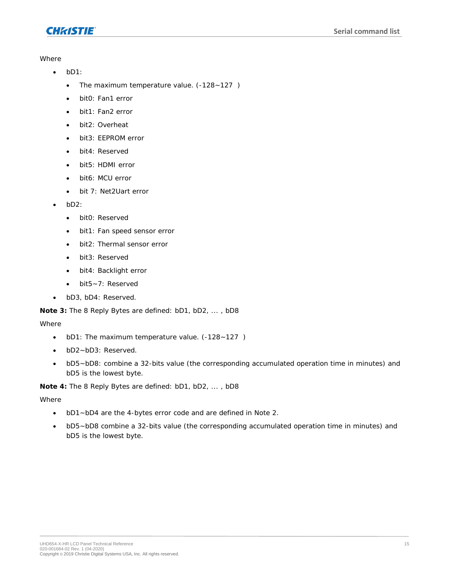

**Where** 

- bD1:
	- The maximum temperature value. (-128~127)
	- bit0: Fan1 error
	- bit1: Fan2 error
	- bit2: Overheat
	- bit3: EEPROM error
	- bit4: Reserved
	- bit5: HDMI error
	- bit6: MCU error
	- bit 7: Net2Uart error
- bD2:
	- bit0: Reserved
	- bit1: Fan speed sensor error
	- bit2: Thermal sensor error
	- bit3: Reserved
	- bit4: Backlight error
	- bit5~7: Reserved
- bD3, bD4: Reserved.

**Note 3:** The 8 Reply Bytes are defined: bD1, bD2, ... , bD8

#### Where

- bD1: The maximum temperature value. (-128~127 )
- bD2~bD3: Reserved.
- bD5~bD8: combine a 32-bits value (the corresponding accumulated operation time in minutes) and bD5 is the lowest byte.

**Note 4:** The 8 Reply Bytes are defined: bD1, bD2, ... , bD8

**Where** 

- bD1~bD4 are the 4-bytes error code and are defined in Note 2.
- bD5~bD8 combine a 32-bits value (the corresponding accumulated operation time in minutes) and bD5 is the lowest byte.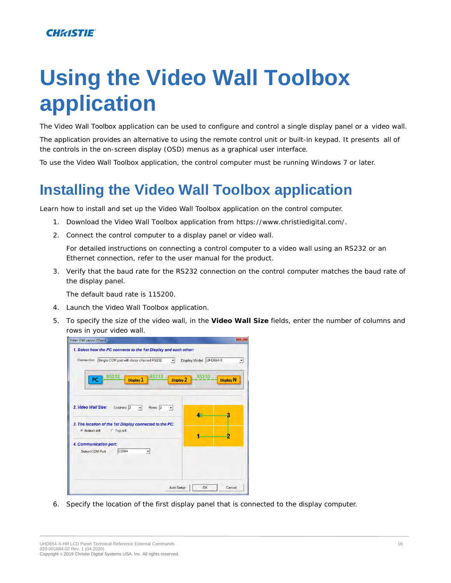# <span id="page-15-1"></span>**Using the Video Wall Toolbox application**

The Video Wall Toolbox application can be used to configure and control a single display panel or a video wall.

The application provides an alternative to using the remote control unit or built-in keypad. It presents all of the controls in the on-screen display (OSD) menus as a graphical user interface.

<span id="page-15-0"></span>To use the Video Wall Toolbox application, the control computer must be running Windows 7 or later.

# **Installing the Video Wall Toolbox application**

Learn how to install and set up the Video Wall Toolbox application on the control computer.

- 1. Download the Video Wall Toolbox application from *<https://www.christiedigital.com/>*.
- 2. Connect the control computer to a display panel or video wall.

For detailed instructions on connecting a control computer to a video wall using an RS232 or an Ethernet connection, refer to the user manual for the product.

3. Verify that the baud rate for the RS232 connection on the control computer matches the baud rate of the display panel.

The default baud rate is 115200.

- 4. Launch the Video Wall Toolbox application.
- 5. To specify the size of the video wall, in the **Video Wall Size** fields, enter the number of columns and rows in your video wall.



6. Specify the location of the first display panel that is connected to the display computer.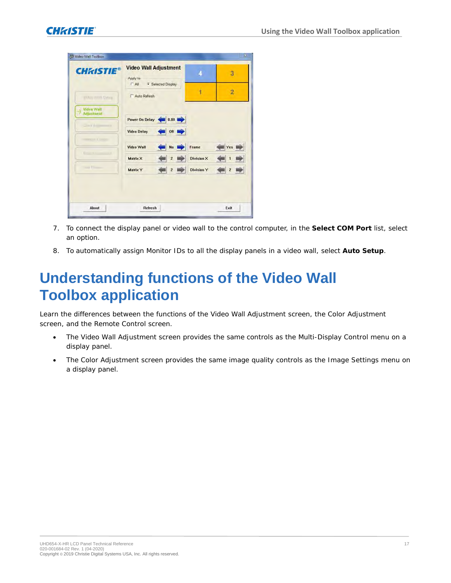

| <b>CHRISTIE®</b>                                                                                                                                                                                                                                                                                                                                                                                                                             | <b>Video Wall Adjustment</b><br>Apply to      |                   | 3              |
|----------------------------------------------------------------------------------------------------------------------------------------------------------------------------------------------------------------------------------------------------------------------------------------------------------------------------------------------------------------------------------------------------------------------------------------------|-----------------------------------------------|-------------------|----------------|
| VIAU WHI Cutun                                                                                                                                                                                                                                                                                                                                                                                                                               | $C$ All<br>G Selected Display<br>Auto Refresh |                   | $\overline{2}$ |
| Video Wall<br>수<br>Adjustment                                                                                                                                                                                                                                                                                                                                                                                                                |                                               |                   |                |
| $\frac{1}{2} \ln \left( \frac{1}{2} \right) \frac{1}{2} \left( \frac{1}{2} \right) \frac{1}{2} \left( \frac{1}{2} \right) \frac{1}{2} \left( \frac{1}{2} \right) \frac{1}{2} \left( \frac{1}{2} \right) \frac{1}{2} \left( \frac{1}{2} \right) \frac{1}{2} \left( \frac{1}{2} \right) \frac{1}{2} \left( \frac{1}{2} \right) \frac{1}{2} \left( \frac{1}{2} \right) \frac{1}{2} \left( \frac{1}{2} \right) \frac{1}{2} \left( \frac{1}{2} \$ | Power On Delay 4 0.00                         |                   |                |
|                                                                                                                                                                                                                                                                                                                                                                                                                                              | $\bullet$ Off $\bullet$<br><b>Video Delay</b> |                   |                |
| ming it be ed-                                                                                                                                                                                                                                                                                                                                                                                                                               | No I<br><b>Video Wall</b>                     | Frame             | Yes            |
| <b>Brand Committee</b>                                                                                                                                                                                                                                                                                                                                                                                                                       | Matrix X<br>$\overline{2}$                    | <b>Division X</b> |                |
| VISA Filmour                                                                                                                                                                                                                                                                                                                                                                                                                                 | Matrix Y<br>$\overline{c}$<br>睡               | <b>Division Y</b> | $\overline{z}$ |
|                                                                                                                                                                                                                                                                                                                                                                                                                                              |                                               |                   |                |
| About                                                                                                                                                                                                                                                                                                                                                                                                                                        | Refresh                                       |                   | Exit           |

- 7. To connect the display panel or video wall to the control computer, in the **Select COM Port** list, select an option.
- 8. To automatically assign Monitor IDs to all the display panels in a video wall, select **Auto Setup**.

## <span id="page-16-0"></span>**Understanding functions of the Video Wall Toolbox application**

Learn the differences between the functions of the Video Wall Adjustment screen, the Color Adjustment screen, and the Remote Control screen.

- The Video Wall Adjustment screen provides the same controls as the Multi-Display Control menu on a display panel.
- The Color Adjustment screen provides the same image quality controls as the Image Settings menu on a display panel.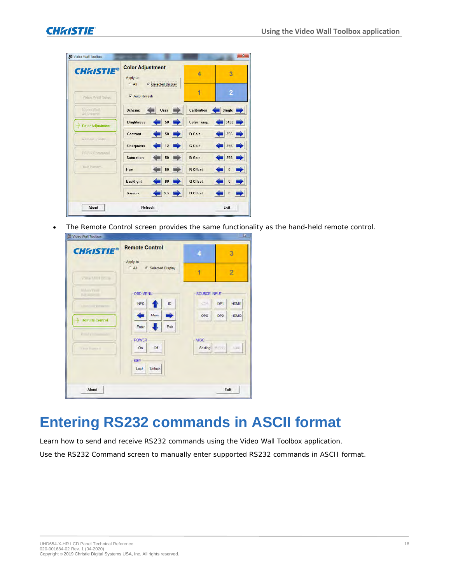| <b>CHRISTIE®</b>              | <b>Color Adjustment</b><br>Apply to<br>G Selected Display<br>$C$ All | 4                  | 3              |
|-------------------------------|----------------------------------------------------------------------|--------------------|----------------|
| Video Wall Setup              | <b>Ⅳ</b> Auto Refresh                                                | 1                  | $\overline{2}$ |
| Video Wall<br>Adjustment      | User<br><b>Scheme</b>                                                | Calibration        | Single         |
| <b>Color Adjustment</b><br>æ, | <b>Brightness</b><br>50                                              | <b>Color Temp.</b> | 3400           |
| Remala Cantral                | 50<br>Contrast                                                       | R Gain             | 256            |
|                               | 12<br><b>Sharpness</b>                                               | G Gain             | 256            |
| <b>FIS Command</b>            | <b>Saturation</b><br>50                                              | <b>B</b> Gain      | 256            |
| Test Pattern                  | 50<br>Hue                                                            | <b>R</b> Offset    | $\bf{0}$       |
|                               | <b>Backlight</b><br>80                                               | G Offset           | $\bf{0}$       |
|                               | 2.2<br>Gamma                                                         | <b>B</b> Offset    | $\bf{0}$       |

• The Remote Control screen provides the same functionality as the hand-held remote control. **TOWN** 

| <b>CHRISTIE®</b>                                  | <b>Remote Control</b>                     | 3<br>4                      |              |
|---------------------------------------------------|-------------------------------------------|-----------------------------|--------------|
| $\sqrt{n} \ln \nu$ + $\sqrt{n}$ = $\approx$ $100$ | Apply to<br>$C$ All<br>G Selected Display | h<br>$\overline{2}$         |              |
| Midson Virgilli<br><b>ALTIBURE</b>                | <b>OSD MENU</b>                           | SOURCE INPUT                |              |
| <b>Construction</b>                               | ID<br><b>INFO</b>                         | VGA.<br>DP1                 | HDMI1        |
| <b>Hemate Control</b>                             | ⇒<br>÷<br>Menu<br>Exit<br>Enter           | OPS<br>DP <sub>2</sub>      | HDMI2        |
| $P = 17.50$<br>THE FIRST                          | <b>POWER</b><br>On<br>Off                 | <b>MISC</b><br>Scaling Free | <b>GUILT</b> |
|                                                   | <b>KEY</b><br><b>Unlock</b><br>Lock       |                             |              |
| About                                             |                                           | Exit                        |              |

## <span id="page-17-0"></span>**Entering RS232 commands in ASCII format**

Learn how to send and receive RS232 commands using the Video Wall Toolbox application. Use the RS232 Command screen to manually enter supported RS232 commands in ASCII format.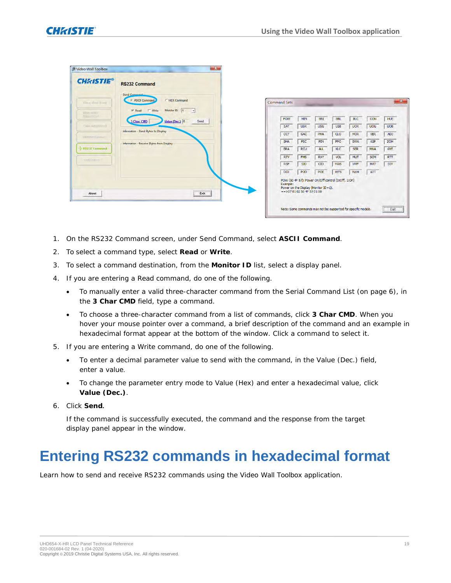| <b>CHAISTIE®</b>           | <b>RS232 Command</b>                                                                                 |                     |                          |                                                                                            |            |            |            |            |
|----------------------------|------------------------------------------------------------------------------------------------------|---------------------|--------------------------|--------------------------------------------------------------------------------------------|------------|------------|------------|------------|
| Voice Wall Science         | -Send Command<br>C HEX Command<br><b>F</b> ASCII Command                                             | <b>Command Sets</b> |                          |                                                                                            |            |            |            | $-x -$     |
| Winno MANI<br>Rouse orient | Monitor ID: 1<br>$P$ Read<br><b>T</b> Write<br>$\mathbf{r}$<br>3 Char. CMD<br>Value (Dec.) 0<br>Send | POW                 | MIN                      | <b>BRI</b>                                                                                 | <b>BRL</b> | <b>BLC</b> | CON        | HUE        |
| Caline Infrumtment         |                                                                                                      | SAT                 | <b>USR</b>               | <b>USG</b>                                                                                 | <b>USB</b> | <b>UOR</b> | <b>UOG</b> | <b>UOB</b> |
| ve more Control-           | Information - Send Bytes to Display                                                                  | CCT                 | GAC                      | PHA                                                                                        | $\alpha$   | <b>HOR</b> | <b>VER</b> | ADJ        |
|                            | Information - Receive Bytes from Display                                                             | SHA                 | <b>PSC</b>               | PIN                                                                                        | PPO        | SWA        | ASP        | ZOM        |
| > BS232 Command            |                                                                                                      | <b>BRA</b>          | <b>RCU</b>               | ALL                                                                                        | KLC        | <b>SER</b> | <b>MNA</b> | <b>GVE</b> |
| Total Patterns             |                                                                                                      | <b>RTV</b>          | <b>FMS</b>               | <b>RXY</b>                                                                                 | VOL        | <b>MUT</b> | SCM        | RTT        |
|                            |                                                                                                      | <b>RSF</b>          | <b>SID</b>               | CID                                                                                        | <b>VWS</b> | <b>VWF</b> | <b>MAT</b> | DIV        |
|                            |                                                                                                      | <b>DID</b>          | POD                      | POE                                                                                        | <b>WFS</b> | <b>VWM</b> | ATT        |            |
| About                      | Exit                                                                                                 | Example:            | $=$ $>07010250$ + 570108 | POW (50 4F 57): Power On/Off control (0:Off, 1:On)<br>Power on the Display (Monitor ID=1). |            |            |            |            |

- 1. On the RS232 Command screen, under Send Command, select **ASCII Command**.
- 2. To select a command type, select **Read** or **Write**.
- 3. To select a command destination, from the **Monitor ID** list, select a display panel.
- 4. If you are entering a Read command, do one of the following.
	- To manually enter a valid three-character command from the *[Serial Command List](#page-5-2)* (on page 6), in the **3 Char CMD** field, type a command.
	- To choose a three-character command from a list of commands, click **3 Char CMD**. When you hover your mouse pointer over a command, a brief description of the command and an example in hexadecimal format appear at the bottom of the window. Click a command to select it.
- 5. If you are entering a Write command, do one of the following.
	- To enter a decimal parameter value to send with the command, in the Value (Dec.) field, enter a value.
	- To change the parameter entry mode to Value (Hex) and enter a hexadecimal value, click **Value (Dec.)**.
- 6. Click **Send.**

If the command is successfully executed, the command and the response from the target display panel appear in the window.

### <span id="page-18-0"></span>**Entering RS232 commands in hexadecimal format**

Learn how to send and receive RS232 commands using the Video Wall Toolbox application.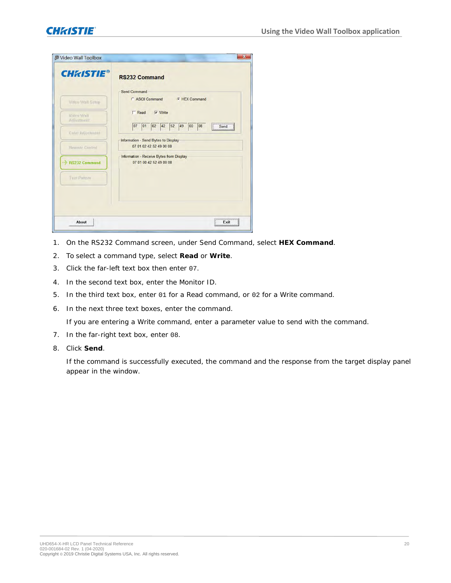| <b>CHRISTIE®</b>         | <b>RS232 Command</b>                                                |
|--------------------------|---------------------------------------------------------------------|
|                          | <b>Send Command</b>                                                 |
| Video Wall Setup         | C ASCII Command<br><b>G</b> HEX Command                             |
| Video Wall<br>Adjustment | $\Gamma$ Read<br>$\nabla$ Write                                     |
| Color Adjustment         | 02 42 52 49<br>07 01<br>00<br>08<br>Send                            |
| <b>Remote Control</b>    | Information - Send Bytes to Display<br>07 01 02 42 52 49 00 08      |
| □ RS232 Command          | Information - Receive Bytes from Display<br>07 01 00 42 52 49 00 08 |
| <b>Test Pattern</b>      |                                                                     |
|                          |                                                                     |

- 1. On the RS232 Command screen, under Send Command, select **HEX Command**.
- 2. To select a command type, select **Read** or **Write**.
- 3. Click the far-left text box then enter 07.
- 4. In the second text box, enter the Monitor ID.
- 5. In the third text box, enter 01 for a Read command, or 02 for a Write command.
- 6. In the next three text boxes, enter the command.

If you are entering a Write command, enter a parameter value to send with the command.

- 7. In the far-right text box, enter 08.
- 8. Click **Send**.

If the command is successfully executed, the command and the response from the target display panel appear in the window.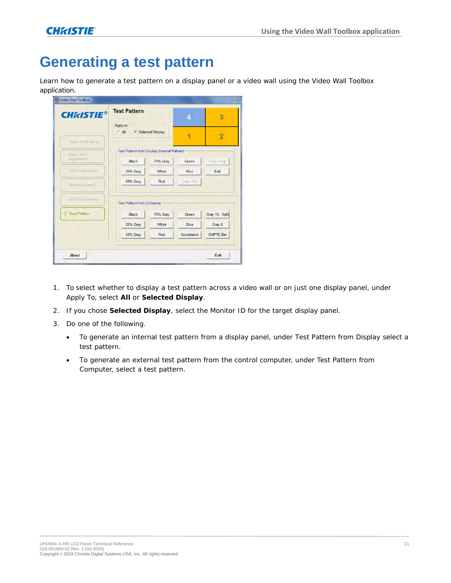## <span id="page-20-0"></span>**Generating a test pattern**

Learn how to generate a test pattern on a display panel or a video wall using the Video Wall Toolbox application.

| <b>Test Pattern</b><br><b>CHRISTIE®</b> |          | 4                                                              | 3                                                 |
|-----------------------------------------|----------|----------------------------------------------------------------|---------------------------------------------------|
| Apply to<br>$C$ All                     |          |                                                                |                                                   |
|                                         |          |                                                                | $\overline{2}$                                    |
|                                         |          |                                                                |                                                   |
| <b>Black</b>                            | 75% Gray | Green                                                          | Gray Ramp                                         |
| 25% Gray                                | White    | Blue                                                           | Exit                                              |
| <b>50% Gray</b>                         | Red      | Color Bar                                                      |                                                   |
|                                         |          |                                                                |                                                   |
| <b>Black</b>                            | 75% Gray | Green                                                          | Gray 16 - Split                                   |
| 25% Gray                                | White    | Blue                                                           | Gray 8                                            |
| <b>50% Gray</b>                         | Red      | Crosshatch                                                     | <b>SMPTE Bar</b>                                  |
|                                         |          | <b>G</b> Selected Display<br><b>Test Pattern from Computer</b> | 4<br>Test Pattern from Display (Internal Pattern) |

- 1. To select whether to display a test pattern across a video wall or on just one display panel, under Apply To, select **All** or **Selected Display**.
- 2. If you chose **Selected Display**, select the Monitor ID for the target display panel.
- 3. Do one of the following.
	- To generate an internal test pattern from a display panel, under Test Pattern from Display select a test pattern.
	- To generate an external test pattern from the control computer, under Test Pattern from Computer, select a test pattern.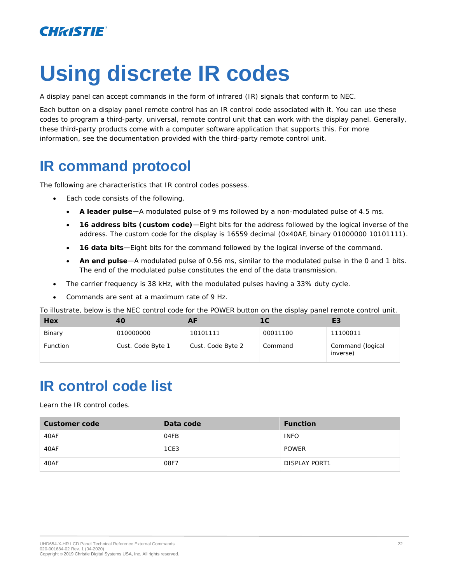

# <span id="page-21-2"></span>**Using discrete IR codes**

A display panel can accept commands in the form of infrared (IR) signals that conform to NEC.

Each button on a display panel remote control has an IR control code associated with it. You can use these codes to program a third-party, universal, remote control unit that can work with the display panel. Generally, these third-party products come with a computer software application that supports this. For more information, see the documentation provided with the third-party remote control unit.

## <span id="page-21-0"></span>**IR command protocol**

The following are characteristics that IR control codes possess.

- Each code consists of the following.
	- **A leader pulse**—A modulated pulse of 9 ms followed by a non-modulated pulse of 4.5 ms.
	- **16 address bits (custom code)**—Eight bits for the address followed by the logical inverse of the address. The custom code for the display is 16559 decimal (0x40AF, binary 01000000 10101111).
	- **16 data bits**—Eight bits for the command followed by the logical inverse of the command.
	- **An end pulse**—A modulated pulse of 0.56 ms, similar to the modulated pulse in the 0 and 1 bits. The end of the modulated pulse constitutes the end of the data transmission.
- The carrier frequency is 38 kHz, with the modulated pulses having a 33% duty cycle.
- Commands are sent at a maximum rate of 9 Hz.

To illustrate, below is the NEC control code for the POWER button on the display panel remote control unit.

| Hex             | 40                |                   | 1 C      | EЗ                           |
|-----------------|-------------------|-------------------|----------|------------------------------|
| Binary          | 010000000         | 10101111          | 00011100 | 11100011                     |
| <b>Function</b> | Cust. Code Byte 1 | Cust. Code Byte 2 | Command  | Command (logical<br>inverse) |

## <span id="page-21-1"></span>**IR control code list**

Learn the IR control codes.

| Customer code | Data code | Function             |
|---------------|-----------|----------------------|
| 40AF          | 04FB      | <b>INFO</b>          |
| 40AF          | 1CE3      | <b>POWER</b>         |
| 40AF          | 08F7      | <b>DISPLAY PORT1</b> |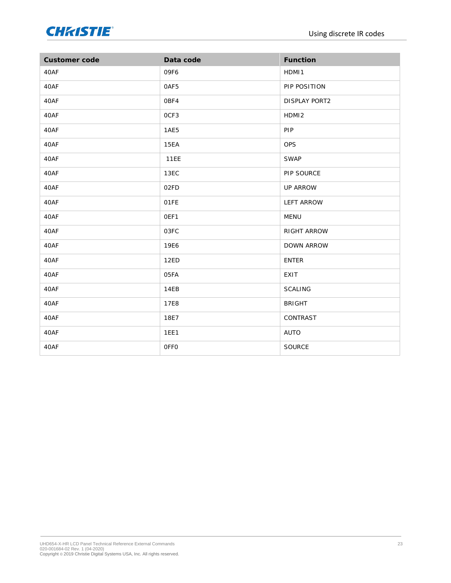

| Customer code | Data code   | Function             |
|---------------|-------------|----------------------|
| 40AF          | 09F6        | HDMI1                |
| 40AF          | OAF5        | PIP POSITION         |
| 40AF          | OBF4        | <b>DISPLAY PORT2</b> |
| 40AF          | OCF3        | HDMI <sub>2</sub>    |
| 40AF          | 1AE5        | PIP                  |
| 40AF          | <b>15EA</b> | <b>OPS</b>           |
| 40AF          | <b>11EE</b> | <b>SWAP</b>          |
| 40AF          | 13EC        | PIP SOURCE           |
| 40AF          | 02FD        | UP ARROW             |
| 40AF          | O1FE        | <b>LEFT ARROW</b>    |
| 40AF          | OEF1        | MENU                 |
| 40AF          | 03FC        | RIGHT ARROW          |
| 40AF          | <b>19E6</b> | <b>DOWN ARROW</b>    |
| 40AF          | 12ED        | <b>ENTER</b>         |
| 40AF          | 05FA        | EXIT                 |
| 40AF          | 14EB        | <b>SCALING</b>       |
| 40AF          | <b>17E8</b> | <b>BRIGHT</b>        |
| 40AF          | 18E7        | CONTRAST             |
| 40AF          | <b>1EE1</b> | AUTO                 |
| 40AF          | OFFO        | SOURCE               |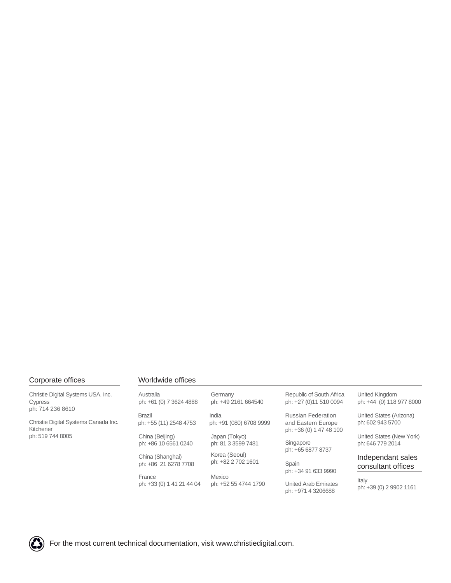#### Corporate offices

Christie Digital Systems USA, Inc. Cypress ph: 714 236 8610

Christie Digital Systems Canada Inc. Kitchener ph: 519 744 8005

#### Worldwide offices

| Australia<br>ph: +61 (0) 7 3624 4888     |
|------------------------------------------|
| Brazil<br>ph: +55 (11) 2548 4753         |
| China (Beijing)<br>ph: +86 10 6561 0240  |
| China (Shanghai)<br>ph: +86 21 6278 7708 |
| France<br>ph: +33 (0) 1 41 21 44 04      |
|                                          |

Japan (Tokyo) ph: 81 3 3599 7481 India ph: +91 (080) 6708 9999 ph: +49 2161 664540

**Germany** 

Korea (Seoul) ph: +82 2 702 1601

Mexico ph: +52 55 4744 1790

Republic of South Africa ph: +27 (0)11 510 0094

Russian Federation and Eastern Europe ph: +36 (0) 1 47 48 100

Singapore ph: +65 6877 8737

Spain ph: +34 91 633 9990

United Arab Emirates ph: +971 4 3206688

United Kingdom ph: +44 (0) 118 977 8000

United States (Arizona) ph: 602 943 5700

United States (New York) ph: 646 779 2014

Independant sales consultant offices

Italy ph: +39 (0) 2 9902 1161